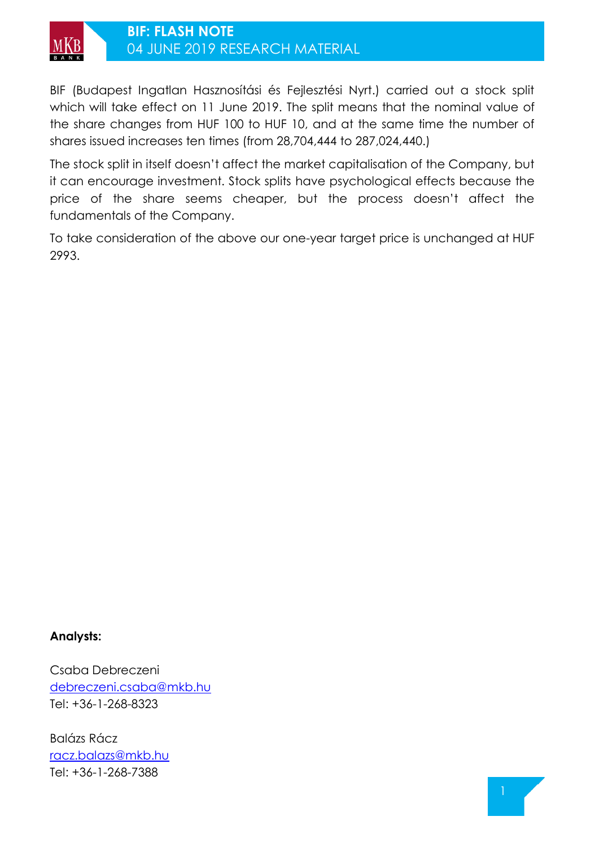

BIF (Budapest Ingatlan Hasznosítási és Fejlesztési Nyrt.) carried out a stock split which will take effect on 11 June 2019. The split means that the nominal value of the share changes from HUF 100 to HUF 10, and at the same time the number of shares issued increases ten times (from 28,704,444 to 287,024,440.)

The stock split in itself doesn't affect the market capitalisation of the Company, but it can encourage investment. Stock splits have psychological effects because the price of the share seems cheaper, but the process doesn't affect the fundamentals of the Company.

To take consideration of the above our one-year target price is unchanged at HUF 2993.

## **Analysts:**

Csaba Debreczeni [debreczeni.csaba@mkb.hu](mailto:debreczeni.csaba@mkb.hu) Tel: +36-1-268-8323

Balázs Rácz [racz.balazs@mkb.hu](mailto:racz.balazs@mkb.hu) Tel: +36-1-268-7388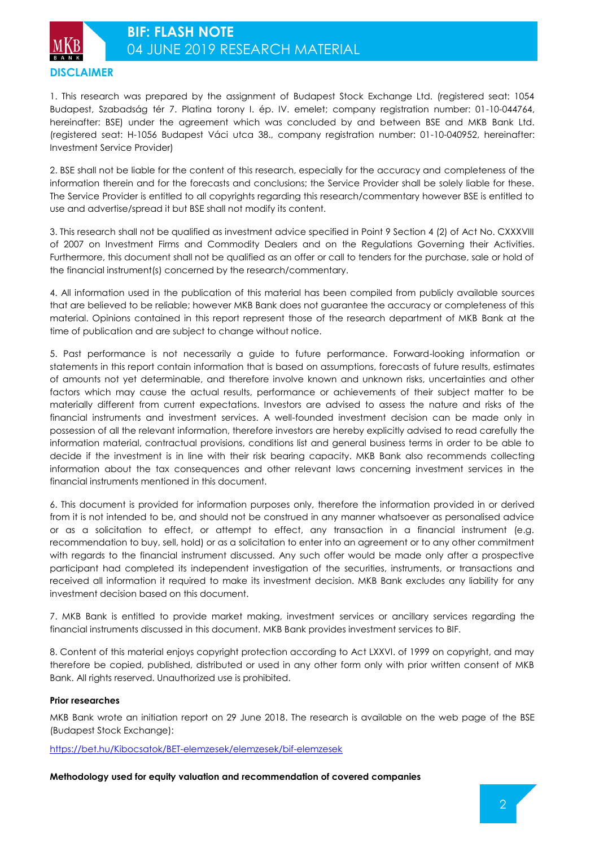

1. This research was prepared by the assignment of Budapest Stock Exchange Ltd. (registered seat: 1054 Budapest, Szabadság tér 7. Platina torony I. ép. IV. emelet; company registration number: 01-10-044764, hereinafter: BSE) under the agreement which was concluded by and between BSE and MKB Bank Ltd. (registered seat: H-1056 Budapest Váci utca 38., company registration number: 01-10-040952, hereinafter: Investment Service Provider)

2. BSE shall not be liable for the content of this research, especially for the accuracy and completeness of the information therein and for the forecasts and conclusions; the Service Provider shall be solely liable for these. The Service Provider is entitled to all copyrights regarding this research/commentary however BSE is entitled to use and advertise/spread it but BSE shall not modify its content.

3. This research shall not be qualified as investment advice specified in Point 9 Section 4 (2) of Act No. CXXXVIII of 2007 on Investment Firms and Commodity Dealers and on the Regulations Governing their Activities. Furthermore, this document shall not be qualified as an offer or call to tenders for the purchase, sale or hold of the financial instrument(s) concerned by the research/commentary.

4. All information used in the publication of this material has been compiled from publicly available sources that are believed to be reliable; however MKB Bank does not guarantee the accuracy or completeness of this material. Opinions contained in this report represent those of the research department of MKB Bank at the time of publication and are subject to change without notice.

5. Past performance is not necessarily a guide to future performance. Forward-looking information or statements in this report contain information that is based on assumptions, forecasts of future results, estimates of amounts not yet determinable, and therefore involve known and unknown risks, uncertainties and other factors which may cause the actual results, performance or achievements of their subject matter to be materially different from current expectations. Investors are advised to assess the nature and risks of the financial instruments and investment services. A well-founded investment decision can be made only in possession of all the relevant information, therefore investors are hereby explicitly advised to read carefully the information material, contractual provisions, conditions list and general business terms in order to be able to decide if the investment is in line with their risk bearing capacity. MKB Bank also recommends collecting information about the tax consequences and other relevant laws concerning investment services in the financial instruments mentioned in this document.

6. This document is provided for information purposes only, therefore the information provided in or derived from it is not intended to be, and should not be construed in any manner whatsoever as personalised advice or as a solicitation to effect, or attempt to effect, any transaction in a financial instrument (e.g. recommendation to buy, sell, hold) or as a solicitation to enter into an agreement or to any other commitment with regards to the financial instrument discussed. Any such offer would be made only after a prospective participant had completed its independent investigation of the securities, instruments, or transactions and received all information it required to make its investment decision. MKB Bank excludes any liability for any investment decision based on this document.

7. MKB Bank is entitled to provide market making, investment services or ancillary services regarding the financial instruments discussed in this document. MKB Bank provides investment services to BIF.

8. Content of this material enjoys copyright protection according to Act LXXVI. of 1999 on copyright, and may therefore be copied, published, distributed or used in any other form only with prior written consent of MKB Bank. All rights reserved. Unauthorized use is prohibited.

## **Prior researches**

MKB Bank wrote an initiation report on 29 June 2018. The research is available on the web page of the BSE (Budapest Stock Exchange):

<https://bet.hu/Kibocsatok/BET-elemzesek/elemzesek/bif-elemzesek>

**Methodology used for equity valuation and recommendation of covered companies**